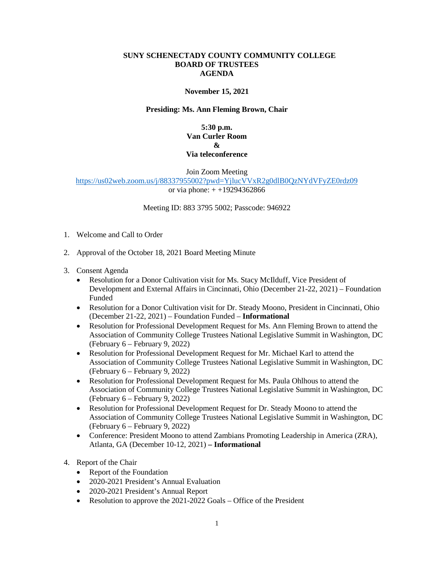## **SUNY SCHENECTADY COUNTY COMMUNITY COLLEGE BOARD OF TRUSTEES AGENDA**

## **November 15, 2021**

## **Presiding: Ms. Ann Fleming Brown, Chair**

**5:30 p.m. Van Curler Room & Via teleconference** 

Join Zoom Meeting

<https://us02web.zoom.us/j/88337955002?pwd=YjlucVVxR2g0dlB0QzNYdVFyZE0rdz09> or via phone: + +19294362866

Meeting ID: 883 3795 5002; Passcode: 946922

- 1. Welcome and Call to Order
- 2. Approval of the October 18, 2021 Board Meeting Minute
- 3. Consent Agenda
	- • Resolution for a Donor Cultivation visit for Ms. Stacy McIlduff, Vice President of Development and External Affairs in Cincinnati, Ohio (December 21-22, 2021) – Foundation Funded
	- (December 21-22, 2021) Foundation Funded **Informational**  • Resolution for a Donor Cultivation visit for Dr. Steady Moono, President in Cincinnati, Ohio
	- • Resolution for Professional Development Request for Ms. Ann Fleming Brown to attend the (February 6 – February 9, 2022) Association of Community College Trustees National Legislative Summit in Washington, DC
	- • Resolution for Professional Development Request for Mr. Michael Karl to attend the Association of Community College Trustees National Legislative Summit in Washington, DC (February 6 – February 9, 2022)
	- • Resolution for Professional Development Request for Ms. Paula Ohlhous to attend the (February 6 – February 9, 2022) Association of Community College Trustees National Legislative Summit in Washington, DC
	- • Resolution for Professional Development Request for Dr. Steady Moono to attend the (February 6 – February 9, 2022) Association of Community College Trustees National Legislative Summit in Washington, DC
	- Atlanta, GA (December 10-12, 2021)  **Informational** • Conference: President Moono to attend Zambians Promoting Leadership in America (ZRA),
- 4. Report of the Chair
	- Report of the Foundation
	- 2020-2021 President's Annual Evaluation
	- 2020-2021 President's Annual Report
	- Resolution to approve the 2021-2022 Goals Office of the President